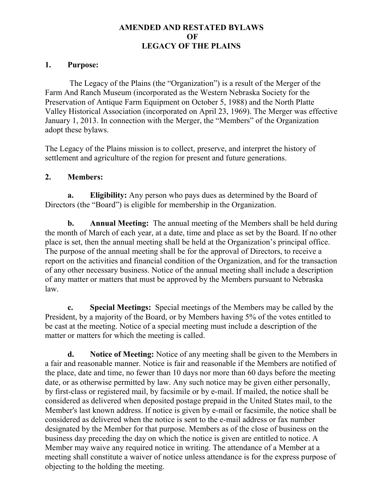# AMENDED AND RESTATED BYLAWS OF LEGACY OF THE PLAINS

# 1. Purpose:

The Legacy of the Plains (the "Organization") is a result of the Merger of the Farm And Ranch Museum (incorporated as the Western Nebraska Society for the Preservation of Antique Farm Equipment on October 5, 1988) and the North Platte Valley Historical Association (incorporated on April 23, 1969). The Merger was effective January 1, 2013. In connection with the Merger, the "Members" of the Organization adopt these bylaws.

The Legacy of the Plains mission is to collect, preserve, and interpret the history of settlement and agriculture of the region for present and future generations.

# 2. Members:

a. Eligibility: Any person who pays dues as determined by the Board of Directors (the "Board") is eligible for membership in the Organization.

b. Annual Meeting: The annual meeting of the Members shall be held during the month of March of each year, at a date, time and place as set by the Board. If no other place is set, then the annual meeting shall be held at the Organization's principal office. The purpose of the annual meeting shall be for the approval of Directors, to receive a report on the activities and financial condition of the Organization, and for the transaction of any other necessary business. Notice of the annual meeting shall include a description of any matter or matters that must be approved by the Members pursuant to Nebraska law.

c. Special Meetings: Special meetings of the Members may be called by the President, by a majority of the Board, or by Members having 5% of the votes entitled to be cast at the meeting. Notice of a special meeting must include a description of the matter or matters for which the meeting is called.

d. Notice of Meeting: Notice of any meeting shall be given to the Members in a fair and reasonable manner. Notice is fair and reasonable if the Members are notified of the place, date and time, no fewer than 10 days nor more than 60 days before the meeting date, or as otherwise permitted by law. Any such notice may be given either personally, by first-class or registered mail, by facsimile or by e-mail. If mailed, the notice shall be considered as delivered when deposited postage prepaid in the United States mail, to the Member's last known address. If notice is given by e-mail or facsimile, the notice shall be considered as delivered when the notice is sent to the e-mail address or fax number designated by the Member for that purpose. Members as of the close of business on the business day preceding the day on which the notice is given are entitled to notice. A Member may waive any required notice in writing. The attendance of a Member at a meeting shall constitute a waiver of notice unless attendance is for the express purpose of objecting to the holding the meeting.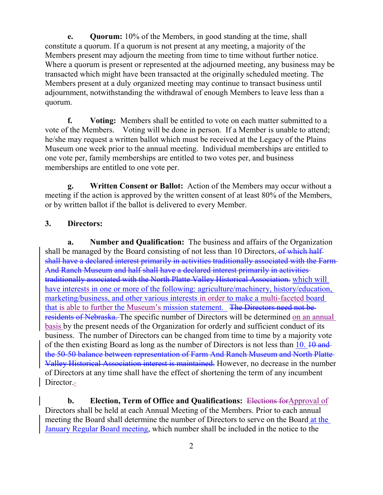e. Quorum: 10% of the Members, in good standing at the time, shall constitute a quorum. If a quorum is not present at any meeting, a majority of the Members present may adjourn the meeting from time to time without further notice. Where a quorum is present or represented at the adjourned meeting, any business may be transacted which might have been transacted at the originally scheduled meeting. The Members present at a duly organized meeting may continue to transact business until adjournment, notwithstanding the withdrawal of enough Members to leave less than a quorum.

f. Voting: Members shall be entitled to vote on each matter submitted to a vote of the Members. Voting will be done in person. If a Member is unable to attend; he/she may request a written ballot which must be received at the Legacy of the Plains Museum one week prior to the annual meeting. Individual memberships are entitled to one vote per, family memberships are entitled to two votes per, and business memberships are entitled to one vote per.

g. Written Consent or Ballot: Action of the Members may occur without a meeting if the action is approved by the written consent of at least 80% of the Members, or by written ballot if the ballot is delivered to every Member.

# 3. Directors:

a. Number and Qualification: The business and affairs of the Organization shall be managed by the Board consisting of not less than 10 Directors, of which halfshall have a declared interest primarily in activities traditionally associated with the Farm And Ranch Museum and half shall have a declared interest primarily in activities traditionally associated with the North Platte Valley Historical Association. which will have interests in one or more of the following: agriculture/machinery, history/education, marketing/business, and other various interests in order to make a multi-faceted board that is able to further the Museum's mission statement. The Directors need not be residents of Nebraska. The specific number of Directors will be determined on an annual basis by the present needs of the Organization for orderly and sufficient conduct of its business. The number of Directors can be changed from time to time by a majority vote of the then existing Board as long as the number of Directors is not less than  $10$ .  $10$  and the 50-50 balance between representation of Farm And Ranch Museum and North Platte Valley Historical Association interest is maintained. However, no decrease in the number of Directors at any time shall have the effect of shortening the term of any incumbent Director.-

b. Election, Term of Office and Qualifications: Elections for Approval of Directors shall be held at each Annual Meeting of the Members. Prior to each annual meeting the Board shall determine the number of Directors to serve on the Board at the January Regular Board meeting, which number shall be included in the notice to the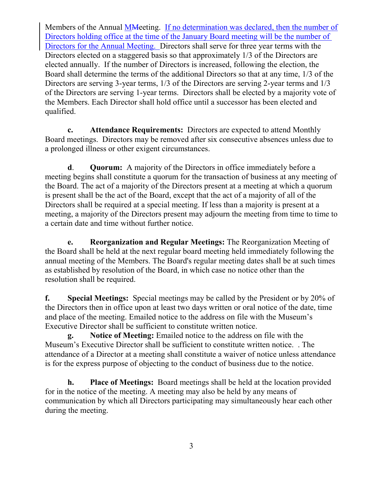Members of the Annual MMeeting. If no determination was declared, then the number of Directors holding office at the time of the January Board meeting will be the number of Directors for the Annual Meeting. Directors shall serve for three year terms with the Directors elected on a staggered basis so that approximately 1/3 of the Directors are elected annually. If the number of Directors is increased, following the election, the Board shall determine the terms of the additional Directors so that at any time, 1/3 of the Directors are serving 3-year terms, 1/3 of the Directors are serving 2-year terms and 1/3 of the Directors are serving 1-year terms. Directors shall be elected by a majority vote of the Members. Each Director shall hold office until a successor has been elected and qualified.

c. Attendance Requirements: Directors are expected to attend Monthly Board meetings. Directors may be removed after six consecutive absences unless due to a prolonged illness or other exigent circumstances.

d. Quorum: A majority of the Directors in office immediately before a meeting begins shall constitute a quorum for the transaction of business at any meeting of the Board. The act of a majority of the Directors present at a meeting at which a quorum is present shall be the act of the Board, except that the act of a majority of all of the Directors shall be required at a special meeting. If less than a majority is present at a meeting, a majority of the Directors present may adjourn the meeting from time to time to a certain date and time without further notice.

e. Reorganization and Regular Meetings: The Reorganization Meeting of the Board shall be held at the next regular board meeting held immediately following the annual meeting of the Members. The Board's regular meeting dates shall be at such times as established by resolution of the Board, in which case no notice other than the resolution shall be required.

f. Special Meetings: Special meetings may be called by the President or by 20% of the Directors then in office upon at least two days written or oral notice of the date, time and place of the meeting. Emailed notice to the address on file with the Museum's Executive Director shall be sufficient to constitute written notice.

g. Notice of Meeting: Emailed notice to the address on file with the Museum's Executive Director shall be sufficient to constitute written notice. . The attendance of a Director at a meeting shall constitute a waiver of notice unless attendance is for the express purpose of objecting to the conduct of business due to the notice.

h. Place of Meetings: Board meetings shall be held at the location provided for in the notice of the meeting. A meeting may also be held by any means of communication by which all Directors participating may simultaneously hear each other during the meeting.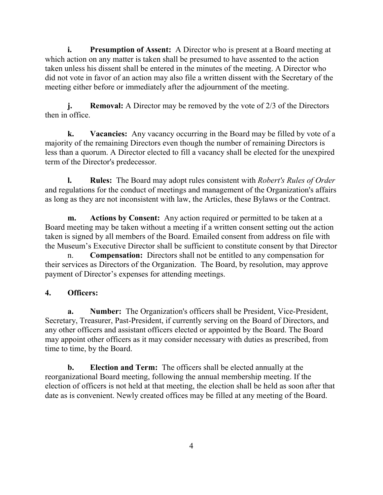i. Presumption of Assent: A Director who is present at a Board meeting at which action on any matter is taken shall be presumed to have assented to the action taken unless his dissent shall be entered in the minutes of the meeting. A Director who did not vote in favor of an action may also file a written dissent with the Secretary of the meeting either before or immediately after the adjournment of the meeting.

j. Removal: A Director may be removed by the vote of 2/3 of the Directors then in office.

k. Vacancies: Any vacancy occurring in the Board may be filled by vote of a majority of the remaining Directors even though the number of remaining Directors is less than a quorum. A Director elected to fill a vacancy shall be elected for the unexpired term of the Director's predecessor.

l. Rules: The Board may adopt rules consistent with *Robert's Rules of Order* and regulations for the conduct of meetings and management of the Organization's affairs as long as they are not inconsistent with law, the Articles, these Bylaws or the Contract.

m. Actions by Consent: Any action required or permitted to be taken at a Board meeting may be taken without a meeting if a written consent setting out the action taken is signed by all members of the Board. Emailed consent from address on file with the Museum's Executive Director shall be sufficient to constitute consent by that Director

n. Compensation: Directors shall not be entitled to any compensation for their services as Directors of the Organization. The Board, by resolution, may approve payment of Director's expenses for attending meetings.

# 4. Officers:

a. Number: The Organization's officers shall be President, Vice-President, Secretary, Treasurer, Past-President, if currently serving on the Board of Directors, and any other officers and assistant officers elected or appointed by the Board. The Board may appoint other officers as it may consider necessary with duties as prescribed, from time to time, by the Board.

b. Election and Term: The officers shall be elected annually at the reorganizational Board meeting, following the annual membership meeting. If the election of officers is not held at that meeting, the election shall be held as soon after that date as is convenient. Newly created offices may be filled at any meeting of the Board.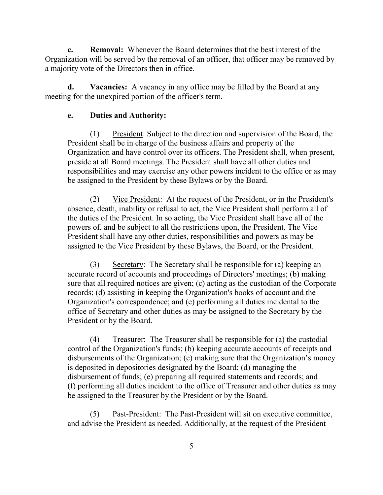c. Removal: Whenever the Board determines that the best interest of the Organization will be served by the removal of an officer, that officer may be removed by a majority vote of the Directors then in office.

d. Vacancies: A vacancy in any office may be filled by the Board at any meeting for the unexpired portion of the officer's term.

### e. Duties and Authority:

(1) President: Subject to the direction and supervision of the Board, the President shall be in charge of the business affairs and property of the Organization and have control over its officers. The President shall, when present, preside at all Board meetings. The President shall have all other duties and responsibilities and may exercise any other powers incident to the office or as may be assigned to the President by these Bylaws or by the Board.

(2) Vice President: At the request of the President, or in the President's absence, death, inability or refusal to act, the Vice President shall perform all of the duties of the President. In so acting, the Vice President shall have all of the powers of, and be subject to all the restrictions upon, the President. The Vice President shall have any other duties, responsibilities and powers as may be assigned to the Vice President by these Bylaws, the Board, or the President.

(3) Secretary: The Secretary shall be responsible for (a) keeping an accurate record of accounts and proceedings of Directors' meetings; (b) making sure that all required notices are given; (c) acting as the custodian of the Corporate records; (d) assisting in keeping the Organization's books of account and the Organization's correspondence; and (e) performing all duties incidental to the office of Secretary and other duties as may be assigned to the Secretary by the President or by the Board.

(4) Treasurer: The Treasurer shall be responsible for (a) the custodial control of the Organization's funds; (b) keeping accurate accounts of receipts and disbursements of the Organization; (c) making sure that the Organization's money is deposited in depositories designated by the Board; (d) managing the disbursement of funds; (e) preparing all required statements and records; and (f) performing all duties incident to the office of Treasurer and other duties as may be assigned to the Treasurer by the President or by the Board.

(5) Past-President: The Past-President will sit on executive committee, and advise the President as needed. Additionally, at the request of the President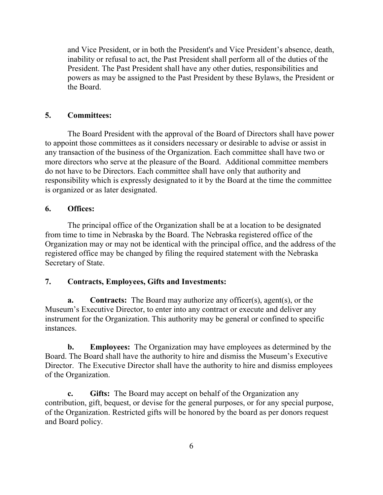and Vice President, or in both the President's and Vice President's absence, death, inability or refusal to act, the Past President shall perform all of the duties of the President. The Past President shall have any other duties, responsibilities and powers as may be assigned to the Past President by these Bylaws, the President or the Board.

# 5. Committees:

The Board President with the approval of the Board of Directors shall have power to appoint those committees as it considers necessary or desirable to advise or assist in any transaction of the business of the Organization. Each committee shall have two or more directors who serve at the pleasure of the Board. Additional committee members do not have to be Directors. Each committee shall have only that authority and responsibility which is expressly designated to it by the Board at the time the committee is organized or as later designated.

# 6. Offices:

The principal office of the Organization shall be at a location to be designated from time to time in Nebraska by the Board. The Nebraska registered office of the Organization may or may not be identical with the principal office, and the address of the registered office may be changed by filing the required statement with the Nebraska Secretary of State.

# 7. Contracts, Employees, Gifts and Investments:

a. Contracts: The Board may authorize any officer(s), agent(s), or the Museum's Executive Director, to enter into any contract or execute and deliver any instrument for the Organization. This authority may be general or confined to specific instances.

b. Employees: The Organization may have employees as determined by the Board. The Board shall have the authority to hire and dismiss the Museum's Executive Director. The Executive Director shall have the authority to hire and dismiss employees of the Organization.

c. Gifts: The Board may accept on behalf of the Organization any contribution, gift, bequest, or devise for the general purposes, or for any special purpose, of the Organization. Restricted gifts will be honored by the board as per donors request and Board policy.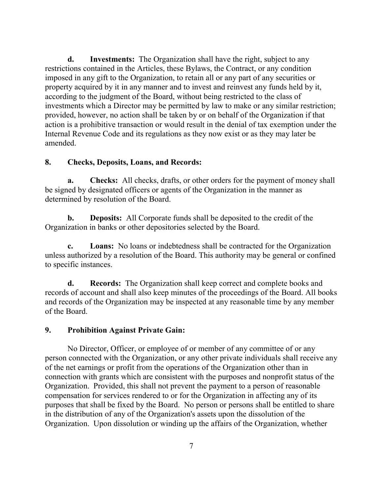d. Investments: The Organization shall have the right, subject to any restrictions contained in the Articles, these Bylaws, the Contract, or any condition imposed in any gift to the Organization, to retain all or any part of any securities or property acquired by it in any manner and to invest and reinvest any funds held by it, according to the judgment of the Board, without being restricted to the class of investments which a Director may be permitted by law to make or any similar restriction; provided, however, no action shall be taken by or on behalf of the Organization if that action is a prohibitive transaction or would result in the denial of tax exemption under the Internal Revenue Code and its regulations as they now exist or as they may later be amended.

### 8. Checks, Deposits, Loans, and Records:

**a.** Checks: All checks, drafts, or other orders for the payment of money shall be signed by designated officers or agents of the Organization in the manner as determined by resolution of the Board.

b. Deposits: All Corporate funds shall be deposited to the credit of the Organization in banks or other depositories selected by the Board.

c. Loans: No loans or indebtedness shall be contracted for the Organization unless authorized by a resolution of the Board. This authority may be general or confined to specific instances.

d. Records: The Organization shall keep correct and complete books and records of account and shall also keep minutes of the proceedings of the Board. All books and records of the Organization may be inspected at any reasonable time by any member of the Board.

#### 9. Prohibition Against Private Gain:

No Director, Officer, or employee of or member of any committee of or any person connected with the Organization, or any other private individuals shall receive any of the net earnings or profit from the operations of the Organization other than in connection with grants which are consistent with the purposes and nonprofit status of the Organization. Provided, this shall not prevent the payment to a person of reasonable compensation for services rendered to or for the Organization in affecting any of its purposes that shall be fixed by the Board. No person or persons shall be entitled to share in the distribution of any of the Organization's assets upon the dissolution of the Organization. Upon dissolution or winding up the affairs of the Organization, whether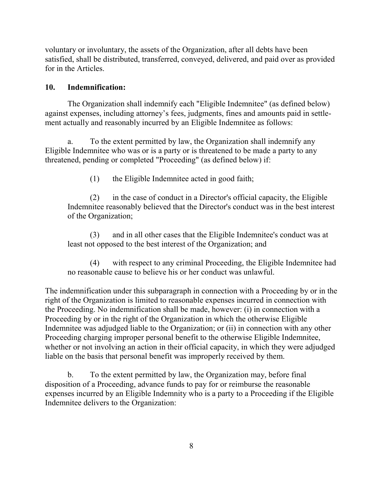voluntary or involuntary, the assets of the Organization, after all debts have been satisfied, shall be distributed, transferred, conveyed, delivered, and paid over as provided for in the Articles.

### 10. Indemnification:

The Organization shall indemnify each "Eligible Indemnitee" (as defined below) against expenses, including attorney's fees, judgments, fines and amounts paid in settlement actually and reasonably incurred by an Eligible Indemnitee as follows:

a. To the extent permitted by law, the Organization shall indemnify any Eligible Indemnitee who was or is a party or is threatened to be made a party to any threatened, pending or completed "Proceeding" (as defined below) if:

(1) the Eligible Indemnitee acted in good faith;

(2) in the case of conduct in a Director's official capacity, the Eligible Indemnitee reasonably believed that the Director's conduct was in the best interest of the Organization;

(3) and in all other cases that the Eligible Indemnitee's conduct was at least not opposed to the best interest of the Organization; and

(4) with respect to any criminal Proceeding, the Eligible Indemnitee had no reasonable cause to believe his or her conduct was unlawful.

The indemnification under this subparagraph in connection with a Proceeding by or in the right of the Organization is limited to reasonable expenses incurred in connection with the Proceeding. No indemnification shall be made, however: (i) in connection with a Proceeding by or in the right of the Organization in which the otherwise Eligible Indemnitee was adjudged liable to the Organization; or (ii) in connection with any other Proceeding charging improper personal benefit to the otherwise Eligible Indemnitee, whether or not involving an action in their official capacity, in which they were adjudged liable on the basis that personal benefit was improperly received by them.

b. To the extent permitted by law, the Organization may, before final disposition of a Proceeding, advance funds to pay for or reimburse the reasonable expenses incurred by an Eligible Indemnity who is a party to a Proceeding if the Eligible Indemnitee delivers to the Organization: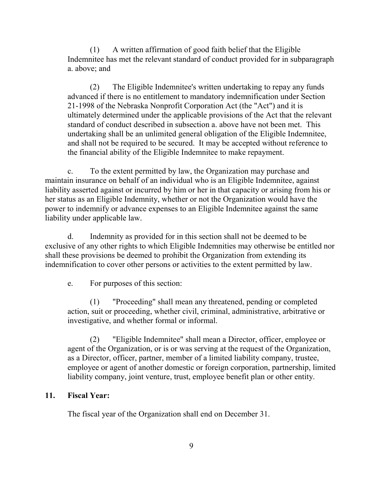(1) A written affirmation of good faith belief that the Eligible Indemnitee has met the relevant standard of conduct provided for in subparagraph a. above; and

(2) The Eligible Indemnitee's written undertaking to repay any funds advanced if there is no entitlement to mandatory indemnification under Section 21-1998 of the Nebraska Nonprofit Corporation Act (the "Act") and it is ultimately determined under the applicable provisions of the Act that the relevant standard of conduct described in subsection a. above have not been met. This undertaking shall be an unlimited general obligation of the Eligible Indemnitee, and shall not be required to be secured. It may be accepted without reference to the financial ability of the Eligible Indemnitee to make repayment.

c. To the extent permitted by law, the Organization may purchase and maintain insurance on behalf of an individual who is an Eligible Indemnitee, against liability asserted against or incurred by him or her in that capacity or arising from his or her status as an Eligible Indemnity, whether or not the Organization would have the power to indemnify or advance expenses to an Eligible Indemnitee against the same liability under applicable law.

d. Indemnity as provided for in this section shall not be deemed to be exclusive of any other rights to which Eligible Indemnities may otherwise be entitled nor shall these provisions be deemed to prohibit the Organization from extending its indemnification to cover other persons or activities to the extent permitted by law.

e. For purposes of this section:

(1) "Proceeding" shall mean any threatened, pending or completed action, suit or proceeding, whether civil, criminal, administrative, arbitrative or investigative, and whether formal or informal.

(2) "Eligible Indemnitee" shall mean a Director, officer, employee or agent of the Organization, or is or was serving at the request of the Organization, as a Director, officer, partner, member of a limited liability company, trustee, employee or agent of another domestic or foreign corporation, partnership, limited liability company, joint venture, trust, employee benefit plan or other entity.

### 11. Fiscal Year:

The fiscal year of the Organization shall end on December 31.